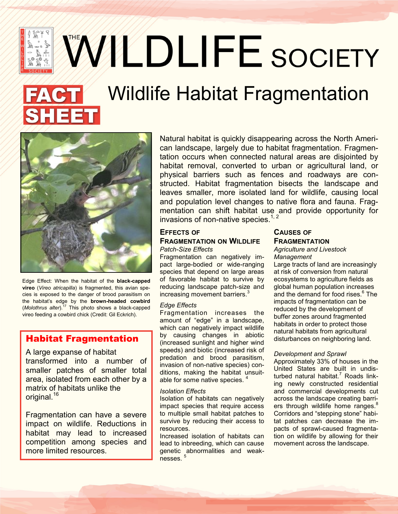WWLDLIFE SOCIETY

# Wildlife Habitat Fragmentation



 $\sum_{i=1}^{\infty}$  $\mathbb{R}^{\bullet}$  of

Edge Effect: When the habitat of the **black-capped vireo** (*Vireo atricapilla*) is fragmented, this avian species is exposed to the danger of brood parasitism on the habitat's edge by the **brown-headed cowbird**  (*Molothrus alter*).<sup>17</sup> This photo shows a black-capped vireo feeding a cowbird chick (Credit: Gil Eckrich).

## Habitat Fragmentation

A large expanse of habitat transformed into a number of smaller patches of smaller total area, isolated from each other by a matrix of habitats unlike the original.<sup>16</sup>

Fragmentation can have a severe impact on wildlife. Reductions in habitat may lead to increased competition among species and more limited resources.

Natural habitat is quickly disappearing across the North American landscape, largely due to habitat fragmentation. Fragmentation occurs when connected natural areas are disjointed by habitat removal, converted to urban or agricultural land, or physical barriers such as fences and roadways are constructed. Habitat fragmentation bisects the landscape and leaves smaller, more isolated land for wildlife, causing local and population level changes to native flora and fauna. Fragmentation can shift habitat use and provide opportunity for invasions of non-native species. $1, 2$ 

### **EFFECTS OF FRAGMENTATION ON WILDLIFE** *Patch-Size Effects*

Fragmentation can negatively impact large-bodied or wide-ranging species that depend on large areas of favorable habitat to survive by reducing landscape patch-size and increasing movement barriers.<sup>3</sup>

#### *Edge Effects*

Fragmentation increases the amount of "edge" in a landscape, which can negatively impact wildlife by causing changes in abiotic (increased sunlight and higher wind speeds) and biotic (increased risk of predation and brood parasitism, invasion of non-native species) conditions, making the habitat unsuitable for some native species. <sup>4</sup>

#### *Isolation Effects*

Isolation of habitats can negatively impact species that require access to multiple small habitat patches to survive by reducing their access to resources.

Increased isolation of habitats can lead to inbreeding, which can cause genetic abnormalities and weaknesses<sup>5</sup>

## **CAUSES OF FRAGMENTATION**

#### *Agriculture and Livestock Management*

Large tracts of land are increasingly at risk of conversion from natural ecosystems to agriculture fields as global human population increases and the demand for food rises. 6 The impacts of fragmentation can be reduced by the development of buffer zones around fragmented habitats in order to protect those natural habitats from agricultural disturbances on neighboring land.

#### *Development and Sprawl*

Approximately 33% of houses in the United States are built in undisturbed natural habitat.<sup>7</sup> Roads linking newly constructed residential and commercial developments cut across the landscape creating barriers through wildlife home ranges.<sup>8</sup> Corridors and "stepping stone" habitat patches can decrease the impacts of sprawl-caused fragmentation on wildlife by allowing for their movement across the landscape.